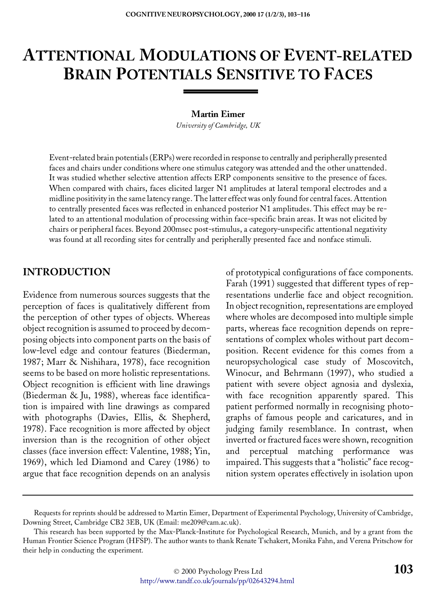# **ATTENTIONAL MODULATIONS OF EVENT-RELATED BRAIN POTENTIALS SENSITIVE TO FACES**

#### **Martin Eimer**

*University of Cambridge, UK*

Event-related brain potentials(ERPs)were recorded in response to centrally and peripherally presented faces and chairs under conditions where one stimulus category was attended and the other unattended. It was studied whether selective attention affects ERP components sensitive to the presence of faces. When compared with chairs, faces elicited larger N1 amplitudes at lateral temporal electrodes and a midline positivity in the same latency range. The latter effectwas only found for central faces. Attention to centrally presented faces was reflected in enhanced posterior N1 amplitudes. This effect may be related to an attentional modulation of processing within face-specific brain areas. It was not elicited by chairs or peripheral faces. Beyond 200msec post-stimulus, a category-unspecific attentional negativity was found at all recording sites for centrally and peripherally presented face and nonface stimuli.

### **INTRODUCTION**

Evidence from numerous sources suggests that the perception of faces is qualitatively different from the perception of other types of objects. Whereas object recognition is assumed to proceed by decom posing objects into component parts on the basis of low-level edge and contour features (Biederman, 1987; Marr & Nishihara, 1978), face recognition seems to be based on more holistic representations. Object recognition is efficient with line drawings (Biederman & Ju, 1988), whereas face identification is impaired with line drawings as compared with photographs (Davies, Ellis, & Shepherd, 1978). Face recognition is more affected by object inversion than is the recognition of other object classes (face inversion effect: Valentine, 1988; Yin, 1969), which led Diamond and Carey (1986) to argue that face recognition depends on an analysis

of prototypical configurations of face components. Farah (1991) suggested that different types of representations underlie face and object recognition. In object recognition, representations are employed where wholes are decomposed into multiple simple parts, whereas face recognition depends on representations of complex wholes without part decom position. Recent evidence for this comes from a neuropsychological case study of Moscovitch, Winocur, and Behrmann (1997), who studied a patient with severe object agnosia and dyslexia, with face recognition apparently spared. This patient performed normally in recognising photo graphs of famous people and caricatures, and in judging family resemblance. In contrast, when inverted or fractured faces were shown, recognition and perceptual matching performance was impaired. This suggests that a "holistic" face recog nition system operates effectively in isolation upon

Requests for reprints should be addressed to Martin Eimer, Department of Experimental Psychology, University of Cambridge, Downing Street, Cambridge CB2 3EB, UK (Email: me209@cam.ac.uk).

This research has been supported by the Max-Planck-Institute for Psychological Research, Munich, and by a grant from the Human Frontier Science Program (HFSP). The author wants to thank Renate Tschakert, Monika Fahn, and Verena Pritschow for their help in conducting the experiment.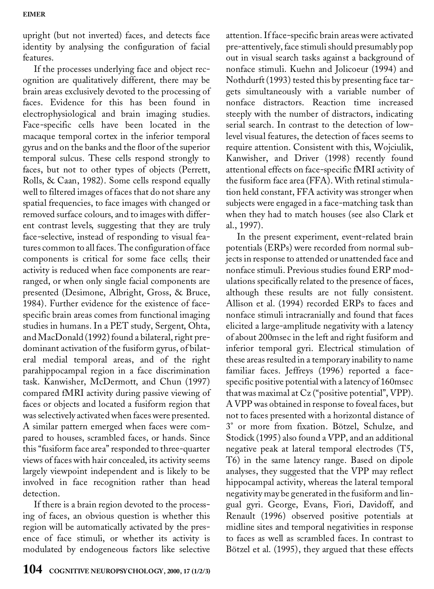upright (but not inverted) faces, and detects face identity by analysing the configuration of facial features.

If the processes underlying face and object rec ognition are qualitatively different, there may be brain areas exclusively devoted to the processing of faces. Evidence for this has been found in electrophysiological and brain imaging studies. Face-specific cells have been located in the macaque temporal cortex in the inferior temporal gyrus and on the banks and the floor of the superior temporal sulcus. These cells respond strongly to faces, but not to other types of objects (Perrett, Rolls, & Caan, 1982). Some cells respond equally well to filtered images of faces that do not share any spatial frequencies, to face images with changed or removed surface colours, and to images with different contrast levels, suggesting that they are truly face-selective, instead of responding to visual features common to all faces. The configuration offace components is critical for some face cells; their activity is reduced when face components are rearranged, or when only single facial components are presented (Desimone, Albright, Gross, & Bruce, 1984). Further evidence for the existence of facespecific brain areas comes from functional imaging studies in humans. In a PET study, Sergent, Ohta, and MacDonald (1992) found a bilateral, right predominant activation of the fusiform gyrus, of bilateral medial temporal areas, and of the right parahippocampal region in a face discrimination task. Kanwisher, McDermott, and Chun (1997) compared fMRI activity during passive viewing of faces or objects and located a fusiform region that was selectively activated when faces were presented. A similar pattern emerged when faces were com pared to houses, scrambled faces, or hands. Since this "fusiform face area" responded to three-quarter views of faces with hair concealed, its activity seems largely viewpoint independent and is likely to be involved in face recognition rather than head detection.

If there is a brain region devoted to the processing of faces, an obvious question is whether this region will be automatically activated by the presence of face stimuli, or whether its activity is modulated by endogeneous factors like selective

attention.If face-specific brain areas were activated pre-attentively, face stimulishould presumably pop out in visual search tasks against a background of nonface stimuli. Kuehn and Jolicoeur (1994) and Nothdurft (1993) tested this by presenting face tar gets simultaneously with a variable number of nonface distractors. Reaction time increased steeply with the number of distractors, indicating serial search. In contrast to the detection of lowlevel visual features, the detection of faces seems to require attention. Consistent with this, Wojciulik, Kanwisher, and Driver (1998) recently found attentional effects on face-specific fMRI activity of the fusiform face area (FFA). With retinal stimulation held constant, FFA activity was stronger when subjects were engaged in a face-matching task than when they had to match houses (see also Clark et al., 1997).

In the present experiment, event-related brain potentials (ERPs) were recorded from normal subjects in response to attended or unattended face and nonface stimuli. Previous studies found ERP mod ulations specifically related to the presence of faces, although these results are not fully consistent. Allison et al. (1994) recorded ERPs to faces and nonface stimuli intracranially and found that faces elicited a large-amplitude negativity with a latency of about 200msec in the left and right fusiform and inferior temporal gyri. Electrical stimulation of these areas resulted in a temporary inability to name familiar faces. Jeffreys (1996) reported a facespecific positive potential with a latency of 160msec thatwas maximal at Cz ("positive potential", VPP). A VPP was obtained in response to foveal faces, but not to faces presented with a horizontal distance of 3° or more from fixation. Bötzel, Schulze, and Stodick (1995) also found a VPP, and an additional negative peak at lateral temporal electrodes (T5, T6) in the same latency range. Based on dipole analyses, they suggested that the VPP may reflect hippocampal activity, whereas the lateral temporal negativity may be generated in the fusiform and lin gual gyri. George, Evans, Fiori, Davidoff, and Renault (1996) observed positive potentials at midline sites and temporal negativities in response to faces as well as scrambled faces. In contrast to Bötzel et al. (1995), they argued that these effects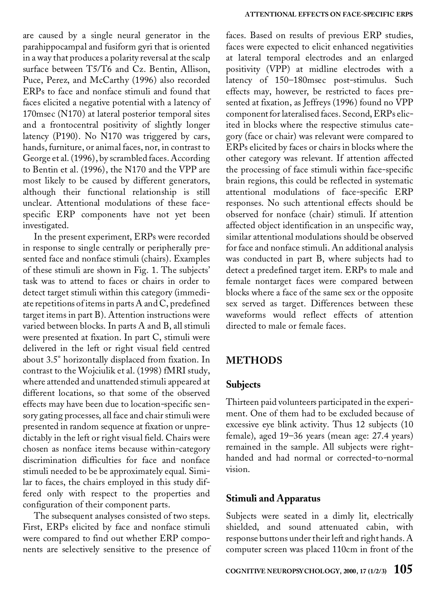are caused by a single neural generator in the parahippocampal and fusiform gyri that is oriented in a way that produces a polarity reversal at the scalp surface between T5/T6 and Cz. Bentin, Allison, Puce, Perez, and McCarthy (1996) also recorded ERPs to face and nonface stimuli and found that faces elicited a negative potential with a latency of 170msec (N170) at lateral posterior temporal sites and a frontocentral positivity of slightly longer latency (P190). No N170 was triggered by cars, hands, furniture, or animal faces, nor, in contrast to George et al. (1996), by scrambled faces. According to Bentin et al. (1996), the N170 and the VPP are most likely to be caused by different generators, although their functional relationship is still unclear. Attentional modulations of these facespecific ERP components have not yet been investigated.

In the present experiment, ERPs were recorded in response to single centrally or peripherally presented face and nonface stimuli (chairs). Examples of these stimuli are shown in Fig. 1. The subjects' task was to attend to faces or chairs in order to detect target stimuli within this category (immediate repetitions of items in parts A and C, predefined target items in part B). Attention instructions were varied between blocks. In parts A and B, all stimuli were presented at fixation. In part C, stimuli were delivered in the left or right visual field centred about 3.5° horizontally displaced from fixation. In contrast to the Wojciulik et al. (1998) fMRI study, where attended and unattended stimuli appeared at different locations, so that some of the observed effects may have been due to location-specific sensory gating processes, all face and chair stimuli were presented in random sequence at fixation or unpre dictably in the left or right visual field. Chairs were chosen as nonface items because within-category discrimination difficulties for face and nonface stimuli needed to be be approximately equal. Similar to faces, the chairs employed in this study differed only with respect to the properties and configuration of their component parts.

The subsequent analyses consisted of two steps. First, ERPs elicited by face and nonface stimuli were compared to find out whether ERP compo nents are selectively sensitive to the presence of

faces. Based on results of previous ERP studies, faces were expected to elicit enhanced negativities at lateral temporal electrodes and an enlarged positivity (VPP) at midline electrodes with a latency of 150–180msec post-stimulus. Such effects may, however, be restricted to faces presented at fixation, as Jeffreys (1996) found no VPP component for lateralised faces. Second, ERPs elicited in blocks where the respective stimulus cate gory (face or chair) was relevant were compared to ERPs elicited by faces or chairs in blocks where the other category was relevant. If attention affected the processing of face stimuli within face-specific brain regions, this could be reflected in systematic attentional modulations of face-specific ERP responses. No such attentional effects should be observed for nonface (chair) stimuli. If attention affected object identification in an unspecific way, similar attentional modulations should be observed for face and nonface stimuli. An additional analysis was conducted in part B, where subjects had to detect a predefined target item. ERPs to male and female nontarget faces were compared between blocks where a face of the same sex or the opposite sex served as target. Differences between these waveforms would reflect effects of attention directed to male or female faces.

## **METHODS**

#### **Subjects**

Thirteen paid volunteers participated in the experi ment. One of them had to be excluded because of excessive eye blink activity. Thus 12 subjects (10 female), aged 19–36 years (mean age: 27.4 years) remained in the sample. All subjects were right handed and had normal or corrected-to-normal vision.

### **Stimuli and Apparatus**

Subjects were seated in a dimly lit, electrically shielded, and sound attenuated cabin, with response buttons under their left and right hands. A computer screen was placed 110cm in front of the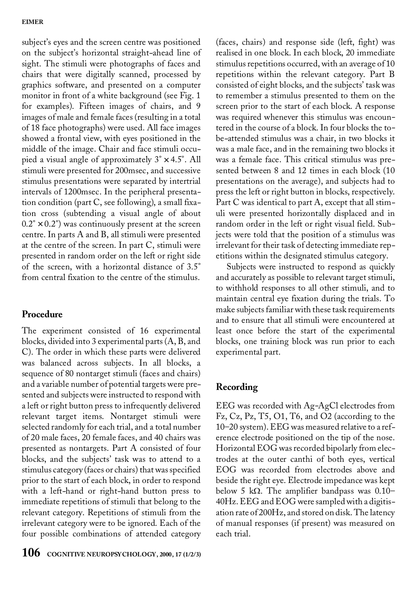subject's eyes and the screen centre was positioned on the subject's horizontal straight-ahead line of sight. The stimuli were photographs of faces and chairs that were digitally scanned, processed by graphics software, and presented on a computer monitor in front of a white background (see Fig. 1 for examples). Fifteen images of chairs, and 9 images of male and female faces (resulting in a total of 18 face photographs) were used. All face images showed a frontal view, with eyes positioned in the middle of the image. Chair and face stimuli occu pied a visual angle of approximately 3° ×4.5°. All stimuli were presented for 200msec, and successive stimulus presentations were separated by intertrial intervals of 1200msec. In the peripheral presentation condition (part C, see following), a small fixation cross (subtending a visual angle of about  $0.2^{\circ} \times 0.2^{\circ}$  was continuously present at the screen centre. In parts A and B, all stimuli were presented at the centre of the screen. In part C, stimuli were presented in random order on the left or right side of the screen, with a horizontal distance of 3.5° from central fixation to the centre of the stimulus.

## **Procedure**

The experiment consisted of 16 experimental blocks, divided into 3 experimental parts (A, B, and C). The order in which these parts were delivered was balanced across subjects. In all blocks, a sequence of 80 nontarget stimuli (faces and chairs) and a variable number of potential targets were presented and subjects were instructed to respond with a left or right button press to infrequently delivered relevant target items. Nontarget stimuli were selected randomly for each trial, and a total number of 20 male faces, 20 female faces, and 40 chairs was presented as nontargets. Part A consisted of four blocks, and the subjects' task was to attend to a stimulus category (faces or chairs) that was specified prior to the start of each block, in order to respond with a left-hand or right-hand button press to immediate repetitions of stimuli that belong to the relevant category. Repetitions of stimuli from the irrelevant category were to be ignored. Each of the four possible combinations of attended category (faces, chairs) and response side (left, fight) was realised in one block. In each block, 20 immediate stimulus repetitions occurred, with an average of 10 repetitions within the relevant category. Part B consisted of eight blocks, and the subjects' task was to remember a stimulus presented to them on the screen prior to the start of each block. A response was required whenever this stimulus was encountered in the course of a block. In four blocks the to be-attended stimulus was a chair, in two blocks it was a male face, and in the remaining two blocks it was a female face. This critical stimulus was presented between 8 and 12 times in each block (10 presentations on the average), and subjects had to press the left or right button in blocks, respectively. Part C was identical to part A, except that all stim uli were presented horizontally displaced and in random order in the left or right visual field. Subjects were told that the position of a stimulus was irrelevant for their task of detecting immediate repetitions within the designated stimulus category.

Subjects were instructed to respond as quickly and accurately as possible to relevant target stimuli, to withhold responses to all other stimuli, and to maintain central eye fixation during the trials. To make subjects familiar with these task requirements and to ensure that all stimuli were encountered at least once before the start of the experimental blocks, one training block was run prior to each experimental part.

## **Recording**

EEG was recorded with Ag-AgCl electrodes from Fz, Cz, Pz, T5, O1, T6, and O2 (according to the 10–20 system).EEG was measured relative to a reference electrode positioned on the tip of the nose. Horizontal EOG was recorded bipolarly from electrodes at the outer canthi of both eyes, vertical EOG was recorded from electrodes above and beside the right eye. Electrode impedance was kept below 5 k $\Omega$ . The amplifier bandpass was 0.10-40Hz. EEG and EOG were sampled with a digitisation rate of 200Hz, and stored on disk. The latency of manual responses (if present) was measured on each trial.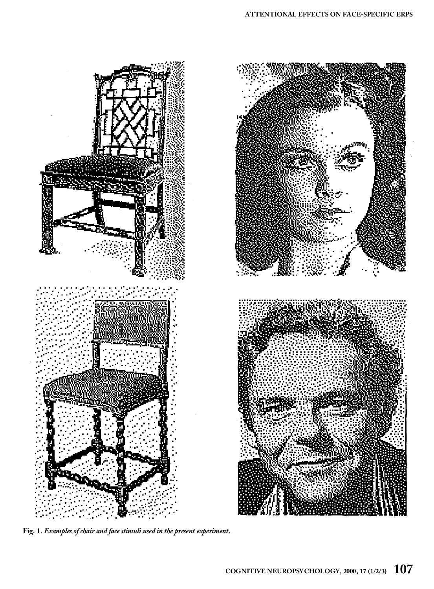

**Fig. 1.** *Examples of chair and face stimuli used in the present experiment.*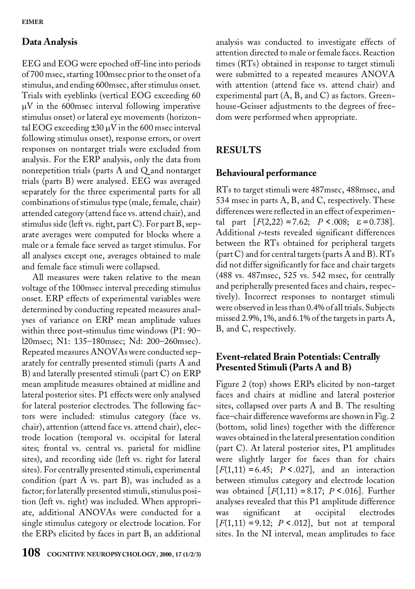# **Data Analysis**

EEG and EOG were epoched off-line into periods of 700 msec, starting 100 msec prior to the onset of a stimulus, and ending 600msec, after stimulus onset. Trials with eyeblinks (vertical EOG exceeding 60  $\mu$ V in the 600msec interval following imperative stimulus onset) or lateral eye movements (horizontal EOG exceeding  $\pm 30 \mu$ V in the 600 msec interval following stimulus onset), response errors, or overt responses on nontarget trials were excluded from analysis. For the ERP analysis, only the data from nonrepetition trials (parts A and Q and nontarget trials (parts B) were analysed. EEG was averaged separately for the three experimental parts for all combinations of stimulus type (male, female, chair) attended category (attend face vs. attend chair), and stimulus side (left vs. right, part C). For part  $B$ , separate averages were computed for blocks where a male or a female face served as target stimulus. For all analyses except one, averages obtained to male and female face stimuli were collapsed.

All measures were taken relative to the mean voltage of the 100msec interval preceding stimulus onset. ERP effects of experimental variables were determined by conducting repeated measures analyses of variance on ERP mean amplitude values within three post-stimulus time windows (P1: 90– l20msec; N1: 135–180msec; Nd: 200–260msec). Repeated measures ANOVAswere conducted separately for centrally presented stimuli (parts A and B) and laterally presented stimuli (part C) on ERP mean amplitude measures obtained at midline and lateral posterior sites. P1 effects were only analysed for lateral posterior electrodes. The following factors were included: stimulus category (face vs. chair), attention (attend face vs. attend chair), electrode location (temporal vs. occipital for lateral sites; frontal vs. central vs. parietal for midline sites), and recording side (left vs. right for lateral sites). For centrally presented stimuli, experimental condition (part A vs. part B), was included as a factor; for laterally presented stimuli, stimulus position (left vs. right) was included. When appropriate, additional ANOVAs were conducted for a single stimulus category or electrode location. For the ERPs elicited by faces in part B, an additional analysis was conducted to investigate effects of attention directed to male or female faces. Reaction times (RTs) obtained in response to target stimuli were submitted to a repeated measures ANOVA with attention (attend face vs. attend chair) and experimental part (A, B, and C) as factors. Green house-Geisser adjustments to the degrees of free dom were performed when appropriate.

# **RESULTS**

# **Behavioural performance**

RTs to target stimuli were 487msec, 488msec, and 534 msec in parts A, B, and C, respectively. These differences were reflected in an effect of experimental part  $[F(2,22) = 7.62; P < .008; \varepsilon = 0.738]$ . Additional *t*-tests revealed significant differences between the RTs obtained for peripheral targets (part C) and for central targets (parts  $A$  and  $B$ ). RTs did not differ significantly for face and chair targets (488 vs. 487msec, 525 vs. 542 msec, for centrally and peripherally presented faces and chairs, respectively). Incorrect responses to nontarget stimuli were observed in less than 0.4% of all trials. Subjects missed 2.9%, 1%, and 6.1% of the targetsin parts A, B, and C, respectively.

# **Event-related Brain Potentials: Centrally Presented Stimuli (Parts A and B)**

Figure 2 (top) shows ERPs elicited by non-target faces and chairs at midline and lateral posterior sites, collapsed over parts A and B. The resulting face–chair difference waveforms are shown in Fig. 2 (bottom, solid lines) together with the difference waves obtained in the lateral presentation condition (part C). At lateral posterior sites, P1 amplitudes were slightly larger for faces than for chairs  $[F(1,11) = 6.45; P < .027]$ , and an interaction between stimulus category and electrode location was obtained [*F*(1,11) =8.17; *P* <.016]. Further analyses revealed that this P1 amplitude difference was significant at occipital electrodes  $[F(1,11) = 9.12; P < .012]$ , but not at temporal sites. In the NI interval, mean amplitudes to face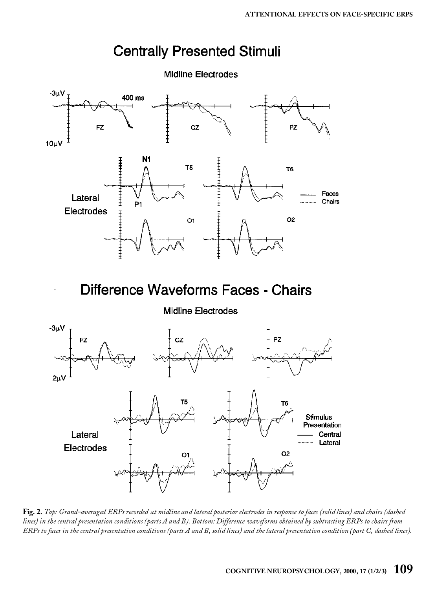

**Centrally Presented Stimuli** 

**Fig. 2.** *Top: Grand-averaged ERPs recorded at midline and lateral posterior electrodes in response to faces (solid lines) and chairs (dashed lines) in the central presentation conditions (parts A and B). Bottom: Difference waveforms obtained by subtracting ERPs to chairs from ERPs to faces in the central presentation conditions (parts A and B, solid lines) and the lateral presentation condition (part C, dashed lines).*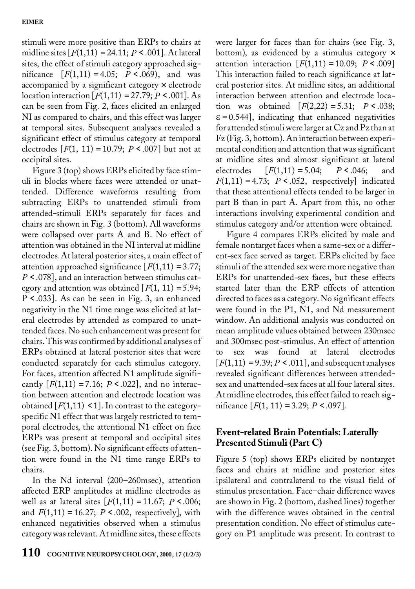stimuli were more positive than ERPs to chairs at midline sites  $[F(1,11) = 24.11; P \lt .001]$ . At lateral sites, the effect of stimuli category approached sig nificance  $[F(1,11) = 4.05; P < .069)$ , and was accompanied by a significant category × electrode location interaction [*F*(1,11) =27.79; *P* <.001]. As can be seen from Fig. 2, faces elicited an enlarged NI as compared to chairs, and this effect was larger at temporal sites. Subsequent analyses revealed a significant effect of stimulus category at temporal electrodes  $[F(1, 11) = 10.79; P < .007]$  but not at occipital sites.

Figure 3 (top) shows ERPs elicited by face stim uli in blocks where faces were attended or unattended. Difference waveforms resulting from subtracting ERPs to unattended stimuli from attended-stimuli ERPs separately for faces and chairs are shown in Fig. 3 (bottom). All waveforms were collapsed over parts A and B. No effect of attention was obtained in the NI interval at midline electrodes. At lateral posterior sites, a main effect of attention approached significance  $[F(1,11) = 3.77;$ *P* <.078], and an interaction between stimulus category and attention was obtained  $[F(1, 11) = 5.94;$ P <.033]. As can be seen in Fig. 3, an enhanced negativity in the N1 time range was elicited at lateral electrodes by attended as compared to unattended faces. No such enhancementwas present for chairs. Thiswas confirmed by additional analyses of ERPs obtained at lateral posterior sites that were conducted separately for each stimulus category. For faces, attention affected N1 amplitude significantly  $[F(1,11) = 7.16; P < .022]$ , and no interaction between attention and electrode location was obtained  $[F(1,11)$  < 1]. In contrast to the categoryspecific N1 effect that was largely restricted to tem poral electrodes, the attentional N1 effect on face ERPs was present at temporal and occipital sites (see Fig. 3, bottom). No significant effects of attention were found in the N1 time range ERPs to chairs.

In the Nd interval (200–260msec), attention affected ERP amplitudes at midline electrodes as well as at lateral sites  $[F(1,11) = 11.67; P < .006;$ and  $F(1,11) = 16.27$ ;  $P < .002$ , respectively], with enhanced negativities observed when a stimulus category was relevant. At midline sites, these effects were larger for faces than for chairs (see Fig. 3, bottom), as evidenced by a stimulus category × attention interaction  $[F(1,11) = 10.09; P < .009]$ This interaction failed to reach significance at lateral posterior sites. At midline sites, an additional interaction between attention and electrode location was obtained  $[F(2.22) = 5.31; P \le 0.038;$  $\epsilon$  = 0.544], indicating that enhanced negativities for attended stimuliwere larger at Cz and Pz than at Fz (Fig. 3, bottom). An interaction between experi mental condition and attention that was significant at midline sites and almost significant at lateral electrodes [*F*(1,11) =5.04; *P* <.046; and  $F(1,11) = 4.73$ ;  $P \le 0.052$ , respectively indicated that these attentional effects tended to be larger in part B than in part A. Apart from this, no other interactions involving experimental condition and stimulus category and/or attention were obtained.

Figure 4 compares ERPs elicited by male and female nontarget faces when a same-sex or a different-sex face served as target. ERPs elicited by face stimuli of the attended sex were more negative than ERPs for unattended-sex faces, but these effects started later than the ERP effects of attention directed to faces as a category. No significant effects were found in the P1, N1, and Nd measurement window. An additional analysis was conducted on mean amplitude values obtained between 230msec and 300msec post-stimulus. An effect of attention to sex was found at lateral  $[F(1,11) = 9.39; P \le 0.011]$ , and subsequent analyses revealed significant differences between attendedsex and unattended-sex faces at all four lateral sites. At midline electrodes, this effect failed to reach sig nificance [*F*(1, 11) =3.29; *P* <.097].

## **Event-related Brain Potentials: Laterally Presented Stimuli (Part C)**

Figure 5 (top) shows ERPs elicited by nontarget faces and chairs at midline and posterior sites ipsilateral and contralateral to the visual field of stimulus presentation. Face–chair difference waves are shown in Fig. 2 (bottom, dashed lines) together with the difference waves obtained in the central presentation condition. No effect of stimulus cate gory on P1 amplitude was present. In contrast to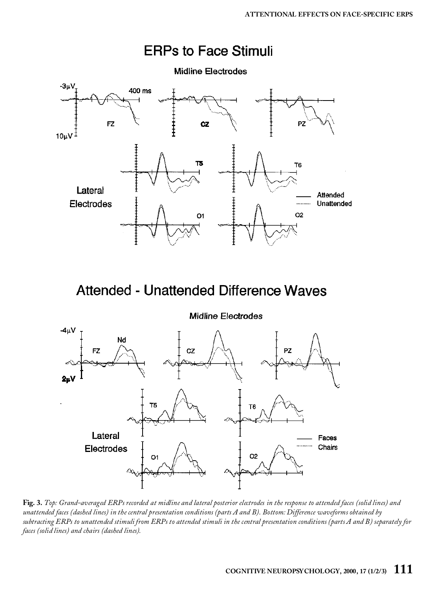

Attended - Unattended Difference Waves

**Midline Electrodes** 



**Fig. 3.** *Top: Grand-averaged ERPs recorded at midline and lateral posterior electrodes in the response to attended faces (solid lines) and unattended faces (dashed lines) in the central presentation conditions (parts A and B). Bottom: Difference waveforms obtained by subtracting ERPs to unattended stimuli from ERPs to attended stimuli in the central presentation conditions (parts A and B) separately for faces (solid lines) and chairs (dashed lines).*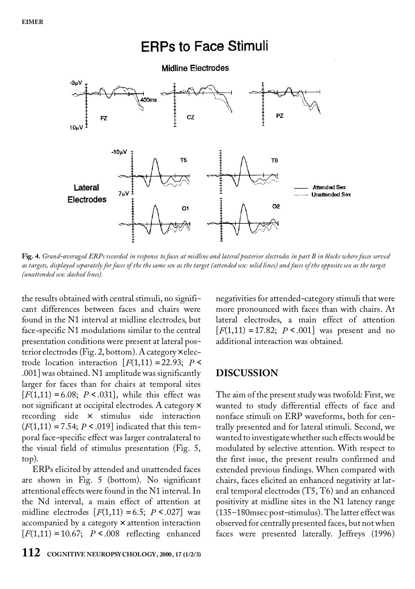# **ERPs to Face Stimuli**



**Fig. 4.** *Grand-averaged ERPs recorded in response to faces at midline and lateral posterior electrodes in part B in blocks where faces served as targets, displayed separately for faces of the the same sex as the target (attended sex: solid lines) and faces of the opposite sex as the target (unattended sex: dashed lines).*

the results obtained with central stimuli, no significant differences between faces and chairs were found in the N1 interval at midline electrodes, but face-specific N1 modulations similar to the central presentation conditions were present at lateral posterior electrodes (Fig. 2, bottom). A category  $x$ electrode location interaction  $[F(1,11) = 22.93; P \le$ .001] was obtained. N1 amplitude was significantly larger for faces than for chairs at temporal sites  $[F(1,11) = 6.08; P < .031]$ , while this effect was not significant at occipital electrodes. A category × recording side × stimulus side interaction  $(F(1,11) = 7.54; P < .019]$  indicated that this temporal face-specific effect was larger contralateral to the visual field of stimulus presentation (Fig. 5, top).

ERPs elicited by attended and unattended faces are shown in Fig. 5 (bottom). No significant attentional effects were found in the N1 interval.In the Nd interval, a main effect of attention at midline electrodes  $[F(1,11) = 6.5; P \le .027]$  was accompanied by a category ×attention interaction  $[F(1,11) = 10.67; P < .008$  reflecting enhanced

**112 COGNITIVE NEUROPSYCHOLOGY, 2000, <sup>17</sup> (1/2/3)**

negativities for attended-category stimuli that were more pronounced with faces than with chairs. At lateral electrodes, a main effect of attention  $[F(1,11) = 17.82; P \le 0.001]$  was present and no additional interaction was obtained.

### **DISCUSSION**

The aim of the present study was twofold: First, we wanted to study differential effects of face and nonface stimuli on ERP waveforms, both for centrally presented and for lateral stimuli. Second, we wanted to investigate whether such effects would be modulated by selective attention. With respect to the first issue, the present results confirmed and extended previous findings. When compared with chairs, faces elicited an enhanced negativity at lateral temporal electrodes (T5, T6) and an enhanced positivity at midline sites in the N1 latency range (135–180msec post-stimulus). The latter effectwas observed for centrally presented faces, but notwhen faces were presented laterally. Jeffreys (1996)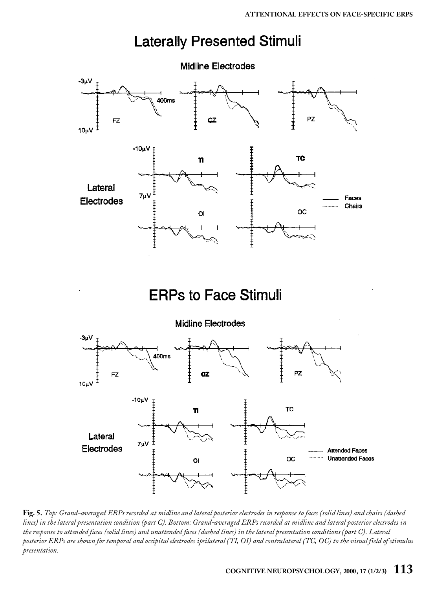# **Laterally Presented Stimuli**



**Fig. 5.** *Top: Grand-averaged ERPs recorded at midline and lateral posterior electrodes in response to faces (solid lines) and chairs (dashed lines) in the lateral presentation condition (part C). Bottom: Grand-averaged ERPs recorded at midline and lateral posterior electrodes in the response to attended faces (solid lines) and unattended faces (dashed lines) in the lateral presentation conditions (part C). Lateral posterior ERPs are shown for temporal and occipital electrodes ipsilateral (TI, OI) and contralateral (TC, OC) to the visual field of stimulus presentation.*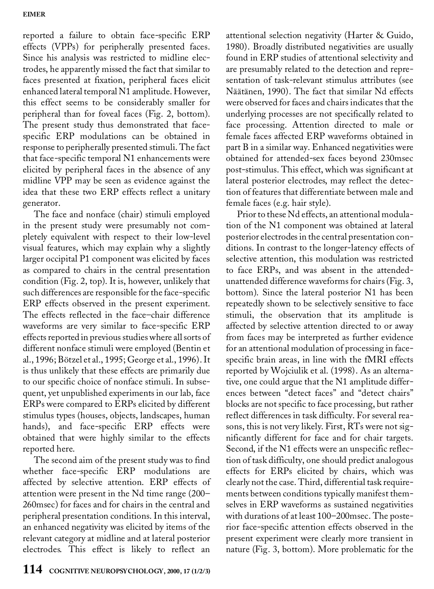reported a failure to obtain face-specific ERP effects (VPPs) for peripherally presented faces. Since his analysis was restricted to midline electrodes, he apparently missed the fact that similar to faces presented at fixation, peripheral faces elicit enhanced lateral temporal N1 amplitude. However, this effect seems to be considerably smaller for peripheral than for foveal faces (Fig. 2, bottom). The present study thus demonstrated that facespecific ERP modulations can be obtained in response to peripherally presented stimuli. The fact that face-specific temporal N1 enhancements were elicited by peripheral faces in the absence of any midline VPP may be seen as evidence against the idea that these two ERP effects reflect a unitary generator.

The face and nonface (chair) stimuli employed in the present study were presumably not com pletely equivalent with respect to their low-level visual features, which may explain why a slightly larger occipital P1 component was elicited by faces as compared to chairs in the central presentation condition (Fig. 2, top). It is, however, unlikely that such differences are responsible for the face-specific ERP effects observed in the present experiment. The effects reflected in the face–chair difference waveforms are very similar to face-specific ERP effects reported in previous studieswhere allsorts of different nonface stimuli were employed (Bentin et al., 1996;Bötzel et al., 1995; George et al., 1996).It is thus unlikely that these effects are primarily due to our specific choice of nonface stimuli. In subse quent, yet unpublished experiments in our lab, face ERPs were compared to ERPs elicited by different stimulus types (houses, objects, landscapes, human hands), and face-specific ERP effects were obtained that were highly similar to the effects reported here.

The second aim of the present study was to find whether face-specific ERP modulations are affected by selective attention. ERP effects of attention were present in the Nd time range (200– 260msec) for faces and for chairs in the central and peripheral presentation conditions. In this interval, an enhanced negativity was elicited by items of the relevant category at midline and at lateral posterior electrodes. This effect is likely to reflect an

attentional selection negativity (Harter & Guido, 1980). Broadly distributed negativities are usually found in ERP studies of attentional selectivity and are presumably related to the detection and representation of task-relevant stimulus attributes (see Näätänen, 1990). The fact that similar Nd effects were observed for faces and chairs indicates that the underlying processes are not specifically related to face processing. Attention directed to male or female faces affected ERP waveforms obtained in part B in a similar way. Enhanced negativities were obtained for attended-sex faces beyond 230msec post-stimulus. This effect, which was significant at lateral posterior electrodes, may reflect the detection of features that differentiate between male and female faces (e.g. hair style).

Prior to these Nd effects, an attentional modulation of the N1 component was obtained at lateral posterior electrodes in the central presentation con ditions. In contrast to the longer-latency effects of selective attention, this modulation was restricted to face ERPs, and was absent in the attended unattended difference waveforms for chairs (Fig. 3, bottom). Since the lateral posterior N1 has been repeatedly shown to be selectively sensitive to face stimuli, the observation that its amplitude is affected by selective attention directed to or away from faces may be interpreted as further evidence for an attentional modulation of processing in facespecific brain areas, in line with the fMRI effects reported by Wojciulik et al. (1998). As an alternative, one could argue that the N1 amplitude differences between "detect faces" and "detect chairs" blocks are not specific to face processing, but rather reflect differences in task difficulty. For several reasons, this is not very likely. First, RTs were not significantly different for face and for chair targets. Second, if the N1 effects were an unspecific reflection of task difficulty, one should predict analogous effects for ERPs elicited by chairs, which was clearly not the case. Third, differential task require ments between conditions typically manifest themselves in ERP waveforms as sustained negativities with durations of at least 100–200msec. The posterior face-specific attention effects observed in the present experiment were clearly more transient in nature (Fig. 3, bottom). More problematic for the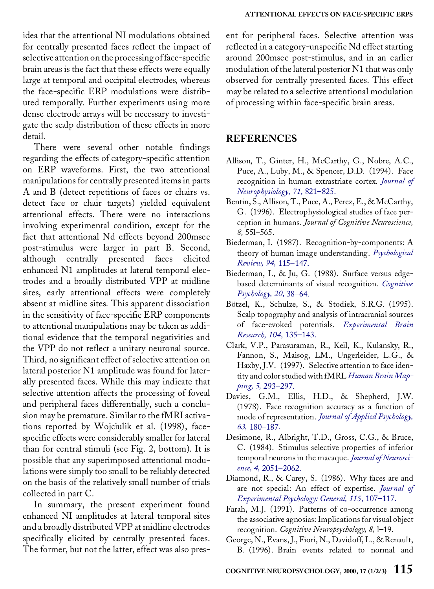idea that the attentional NI modulations obtained for centrally presented faces reflect the impact of selective attention on the processing offace-specific brain areas is the fact that these effects were equally large at temporal and occipital electrodes, whereas the face-specific ERP modulations were distrib uted temporally. Further experiments using more dense electrode arrays will be necessary to investi gate the scalp distribution of these effects in more detail.

There were several other notable findings regarding the effects of category-specific attention on ERP waveforms. First, the two attentional manipulations for centrally presented items in parts A and B (detect repetitions of faces or chairs vs. detect face or chair targets) yielded equivalent attentional effects. There were no interactions involving experimental condition, except for the fact that attentional Nd effects beyond 200msec post-stimulus were larger in part B. Second, although centrally presented faces elicited enhanced N1 amplitudes at lateral temporal electrodes and a broadly distributed VPP at midline sites, early attentional effects were completely absent at midline sites. This apparent dissociation in the sensitivity of face-specific ERP components to attentional manipulations may be taken as additional evidence that the temporal negativities and the VPP do not reflect a unitary neuronal source. Third, no significant effect of selective attention on lateral posterior N1 amplitude was found for laterally presented faces. While this may indicate that selective attention affects the processing of foveal and peripheral faces differentially, such a conclusion may be premature. Similar to the fMRI activations reported by Wojciulik et al. (1998), facespecific effects were considerably smaller for lateral than for central stimuli (see Fig. 2, bottom). It is possible that any superimposed attentional modulations were simply too small to be reliably detected on the basis of the relatively small number of trials collected in part C.

In summary, the present experiment found enhanced NI amplitudes at lateral temporal sites and a broadly distributed VPP at midline electrodes specifically elicited by centrally presented faces. The former, but not the latter, effect was also present for peripheral faces. Selective attention was reflected in a category-unspecific Nd effect starting around 200msec post-stimulus, and in an earlier modulation of the lateral posterior N1 thatwas only observed for centrally presented faces. This effect may be related to a selective attentional modulation of processing within face-specific brain areas.

## **REFERENCES**

- Allison, T., Ginter, H., McCarthy, G., Nobre, A.C., Puce, A., Luby, M., & Spencer, D.D. (1994). Face recognition in human extrastriate cortex. *[Journal](http://ramiro.catchword.com/nw=1/rpsv/0022-3077^28^2971L.821[aid=212463,csa=0022-3077^26vol=71^26iss=2^26firstpage=821,nlm=8176446]) of [Neurophysiology,](http://ramiro.catchword.com/nw=1/rpsv/0022-3077^28^2971L.821[aid=212463,csa=0022-3077^26vol=71^26iss=2^26firstpage=821,nlm=8176446]) 71,* 821–825.
- Bentin, S., Allison, T., Puce, A., Perez, E., & McCarthy, G. (1996). Electrophysiological studies of face perception in humans. *Journal of Cognitive Neuroscience, 8,* 55l–565.
- Biederman, I. (1987). Recognition-by-components: A theory of human image understanding. *[Psychological](http://ramiro.catchword.com/nw=1/rpsv/0033-295X^28^2994L.115[aid=19337]) Review, 94,* [115–147.](http://ramiro.catchword.com/nw=1/rpsv/0033-295X^28^2994L.115[aid=19337])
- Biederman, I., & Ju, G. (1988). Surface versus edge based determinants of visual recognition. *[Cognitive](http://ramiro.catchword.com/nw=1/rpsv/0010-0285^28^2920L.38[aid=297423,erg=110058,nlm=3338267]) [Psychology,](http://ramiro.catchword.com/nw=1/rpsv/0010-0285^28^2920L.38[aid=297423,erg=110058,nlm=3338267]) 20,* 38–64.
- Bötzel, K., Schulze, S., & Stodiek, S.R.G. (1995). Scalp topography and analysis of intracranial sources of face-evoked potentials. *[Experimental](http://ramiro.catchword.com/nw=1/rpsv/0014-4819^28^29104L.135[aid=297424,csa=0014-4819^26vol=104^26iss=1^26firstpage=135,nlm=7621932]) Brain Research, 104,* [135–143.](http://ramiro.catchword.com/nw=1/rpsv/0014-4819^28^29104L.135[aid=297424,csa=0014-4819^26vol=104^26iss=1^26firstpage=135,nlm=7621932])
- Clark, V.P., Parasuraman, R., Keil, K., Kulansky, R., Fannon, S., Maisog, LM., Ungerleider, L.G., & Haxby, J.V. (1997). Selective attention to face identity and colorstudied with fMRL *[Human](http://ramiro.catchword.com/nw=1/rpsv/1065-9471^28^295L.293[aid=211301,csa=1065-9471^26vol=5^26iss=4^26firstpage=293]) Brain Map ping, 5,* [293–297.](http://ramiro.catchword.com/nw=1/rpsv/1065-9471^28^295L.293[aid=211301,csa=1065-9471^26vol=5^26iss=4^26firstpage=293])
- Davies, G.M., Ellis, H.D., & Shepherd, J.W. (1978). Face recognition accuracy as a function of mode of representation. *Journal of Applied [Psychology,](http://ramiro.catchword.com/nw=1/rpsv/0021-9010^28^2963L.180[aid=297425]) 63,* [180–187](http://ramiro.catchword.com/nw=1/rpsv/0021-9010^28^2963L.180[aid=297425])*.*
- Desimone, R., Albright, T.D., Gross, C.G., & Bruce, C. (1984). Stimulus selective properties of inferior temporal neurons in the macaque. *[Journalof](http://ramiro.catchword.com/nw=1/rpsv/0270-6474^28^294L.2051[aid=297332,csa=0270-6474^26vol=4^26iss=8^26firstpage=2051,nlm=6470767]) Neuroscience, 4,* [2051–2062.](http://ramiro.catchword.com/nw=1/rpsv/0270-6474^28^294L.2051[aid=297332,csa=0270-6474^26vol=4^26iss=8^26firstpage=2051,nlm=6470767])
- Diamond, R., & Carey, S. (1986). Why faces are and are not special: An effect of expertise. *[Journal](http://ramiro.catchword.com/nw=1/rpsv/0096-3445^28^29115L.107[aid=212466,nlm=2940312]) of [Experimental Psychology: General,](http://ramiro.catchword.com/nw=1/rpsv/0096-3445^28^29115L.107[aid=212466,nlm=2940312]) 115,* 107–117.
- Farah, M.J. (1991). Patterns of co-occurrence among the associative agnosias:Implications for visual object recognition. *Cognitive Neuropsychology, 8,* l–19.
- George, N., Evans,J., Fiori, N., Davidoff, L., & Renault, B. (1996). Brain events related to normal and